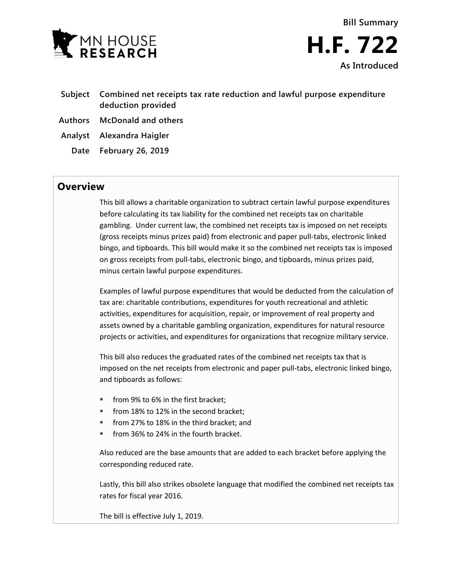



- **Subject Combined net receipts tax rate reduction and lawful purpose expenditure deduction provided**
- **Authors McDonald and others**
- **Analyst Alexandra Haigler**
	- **Date February 26, 2019**

## **Overview**

This bill allows a charitable organization to subtract certain lawful purpose expenditures before calculating its tax liability for the combined net receipts tax on charitable gambling. Under current law, the combined net receipts tax is imposed on net receipts (gross receipts minus prizes paid) from electronic and paper pull-tabs, electronic linked bingo, and tipboards. This bill would make it so the combined net receipts tax is imposed on gross receipts from pull-tabs, electronic bingo, and tipboards, minus prizes paid, minus certain lawful purpose expenditures.

Examples of lawful purpose expenditures that would be deducted from the calculation of tax are: charitable contributions, expenditures for youth recreational and athletic activities, expenditures for acquisition, repair, or improvement of real property and assets owned by a charitable gambling organization, expenditures for natural resource projects or activities, and expenditures for organizations that recognize military service.

This bill also reduces the graduated rates of the combined net receipts tax that is imposed on the net receipts from electronic and paper pull-tabs, electronic linked bingo, and tipboards as follows:

- **from 9% to 6% in the first bracket:**
- **from 18% to 12% in the second bracket:**
- from 27% to 18% in the third bracket; and
- from 36% to 24% in the fourth bracket.

Also reduced are the base amounts that are added to each bracket before applying the corresponding reduced rate.

Lastly, this bill also strikes obsolete language that modified the combined net receipts tax rates for fiscal year 2016.

The bill is effective July 1, 2019.